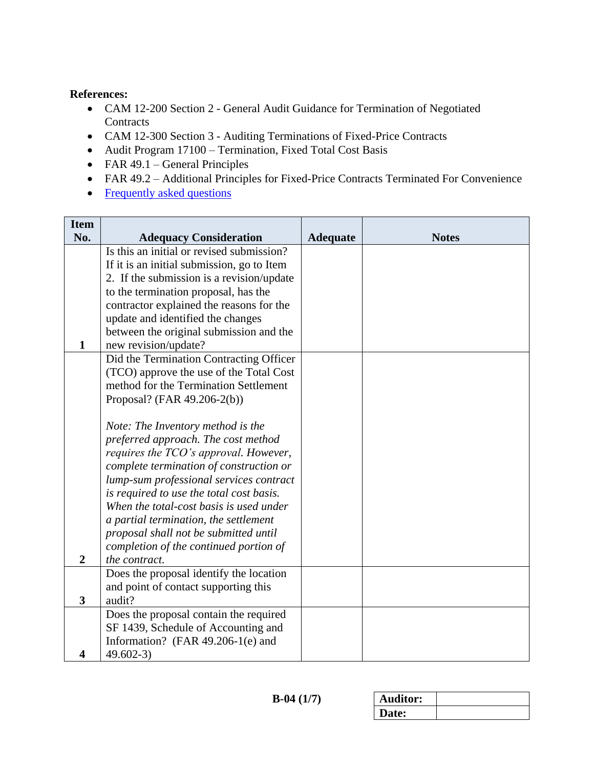## **References:**

- CAM 12-200 Section 2 General Audit Guidance for Termination of Negotiated **Contracts**
- CAM 12-300 Section 3 Auditing Terminations of Fixed-Price Contracts
- Audit Program 17100 Termination, Fixed Total Cost Basis
- $\bullet$  FAR 49.1 General Principles
- FAR 49.2 Additional Principles for Fixed-Price Contracts Terminated For Convenience
- <span id="page-0-0"></span>• [Frequently asked questions](#page-6-0)

| <b>Item</b> |                                                                                    |                 |              |
|-------------|------------------------------------------------------------------------------------|-----------------|--------------|
| No.         | <b>Adequacy Consideration</b>                                                      | <b>Adequate</b> | <b>Notes</b> |
|             | Is this an initial or revised submission?                                          |                 |              |
|             | If it is an initial submission, go to Item                                         |                 |              |
|             | 2. If the submission is a revision/update                                          |                 |              |
|             | to the termination proposal, has the                                               |                 |              |
|             | contractor explained the reasons for the                                           |                 |              |
|             | update and identified the changes                                                  |                 |              |
|             | between the original submission and the                                            |                 |              |
| 1           | new revision/update?                                                               |                 |              |
|             | Did the Termination Contracting Officer                                            |                 |              |
|             | (TCO) approve the use of the Total Cost                                            |                 |              |
|             | method for the Termination Settlement                                              |                 |              |
|             | Proposal? (FAR 49.206-2(b))                                                        |                 |              |
|             |                                                                                    |                 |              |
|             | Note: The Inventory method is the                                                  |                 |              |
|             | preferred approach. The cost method                                                |                 |              |
|             | requires the TCO's approval. However,                                              |                 |              |
|             | complete termination of construction or<br>lump-sum professional services contract |                 |              |
|             | is required to use the total cost basis.                                           |                 |              |
|             | When the total-cost basis is used under                                            |                 |              |
|             | a partial termination, the settlement                                              |                 |              |
|             | proposal shall not be submitted until                                              |                 |              |
|             | completion of the continued portion of                                             |                 |              |
| 2           | the contract.                                                                      |                 |              |
|             | Does the proposal identify the location                                            |                 |              |
|             | and point of contact supporting this                                               |                 |              |
| 3           | audit?                                                                             |                 |              |
|             | Does the proposal contain the required                                             |                 |              |
|             | SF 1439, Schedule of Accounting and                                                |                 |              |
|             | Information? (FAR 49.206-1(e) and                                                  |                 |              |
| 4           | $49.602 - 3$                                                                       |                 |              |

| <b>Auditor:</b> |  |
|-----------------|--|
| Date:           |  |
|                 |  |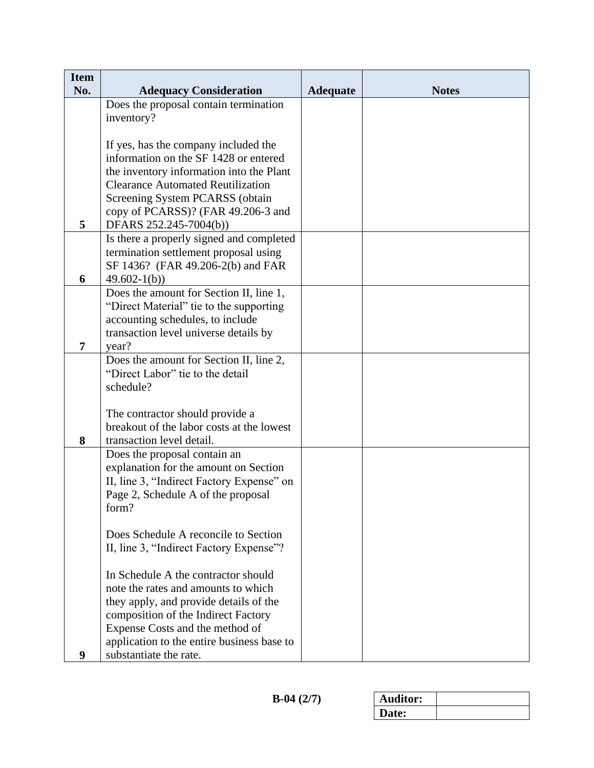| <b>Item</b> |                                            |                 |              |
|-------------|--------------------------------------------|-----------------|--------------|
| No.         | <b>Adequacy Consideration</b>              | <b>Adequate</b> | <b>Notes</b> |
|             | Does the proposal contain termination      |                 |              |
|             | inventory?                                 |                 |              |
|             | If yes, has the company included the       |                 |              |
|             | information on the SF 1428 or entered      |                 |              |
|             | the inventory information into the Plant   |                 |              |
|             | <b>Clearance Automated Reutilization</b>   |                 |              |
|             | Screening System PCARSS (obtain            |                 |              |
|             | copy of PCARSS)? (FAR 49.206-3 and         |                 |              |
| 5           | DFARS 252.245-7004(b))                     |                 |              |
|             | Is there a properly signed and completed   |                 |              |
|             | termination settlement proposal using      |                 |              |
|             | SF 1436? (FAR 49.206-2(b) and FAR          |                 |              |
| 6           | $49.602 - 1(b)$                            |                 |              |
|             | Does the amount for Section II, line 1,    |                 |              |
|             | "Direct Material" tie to the supporting    |                 |              |
|             | accounting schedules, to include           |                 |              |
|             | transaction level universe details by      |                 |              |
| 7           | year?                                      |                 |              |
|             | Does the amount for Section II, line 2,    |                 |              |
|             | "Direct Labor" tie to the detail           |                 |              |
|             | schedule?                                  |                 |              |
|             |                                            |                 |              |
|             | The contractor should provide a            |                 |              |
|             | breakout of the labor costs at the lowest  |                 |              |
| 8           | transaction level detail.                  |                 |              |
|             | Does the proposal contain an               |                 |              |
|             | explanation for the amount on Section      |                 |              |
|             | II, line 3, "Indirect Factory Expense" on  |                 |              |
|             | Page 2, Schedule A of the proposal         |                 |              |
|             | form?                                      |                 |              |
|             |                                            |                 |              |
|             | Does Schedule A reconcile to Section       |                 |              |
|             | II, line 3, "Indirect Factory Expense"?    |                 |              |
|             | In Schedule A the contractor should        |                 |              |
|             | note the rates and amounts to which        |                 |              |
|             | they apply, and provide details of the     |                 |              |
|             | composition of the Indirect Factory        |                 |              |
|             | Expense Costs and the method of            |                 |              |
|             | application to the entire business base to |                 |              |
| 9           | substantiate the rate.                     |                 |              |

| <b>Auditor:</b> |  |
|-----------------|--|
| Date:           |  |
|                 |  |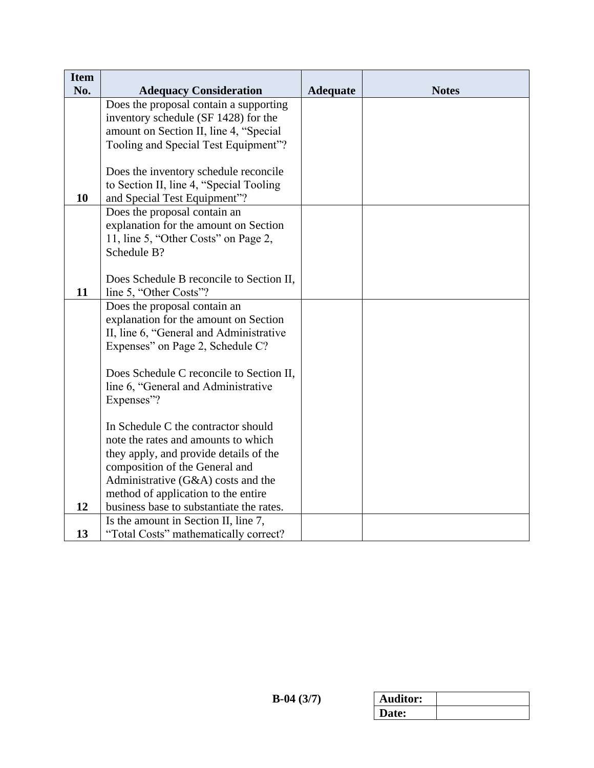| <b>Item</b> |                                                                       |                 |              |
|-------------|-----------------------------------------------------------------------|-----------------|--------------|
| No.         | <b>Adequacy Consideration</b>                                         | <b>Adequate</b> | <b>Notes</b> |
|             | Does the proposal contain a supporting                                |                 |              |
|             | inventory schedule (SF 1428) for the                                  |                 |              |
|             | amount on Section II, line 4, "Special                                |                 |              |
|             | Tooling and Special Test Equipment"?                                  |                 |              |
|             |                                                                       |                 |              |
|             | Does the inventory schedule reconcile                                 |                 |              |
|             | to Section II, line 4, "Special Tooling                               |                 |              |
| 10          | and Special Test Equipment"?                                          |                 |              |
|             | Does the proposal contain an                                          |                 |              |
|             | explanation for the amount on Section                                 |                 |              |
|             | 11, line 5, "Other Costs" on Page 2,                                  |                 |              |
|             | Schedule B?                                                           |                 |              |
|             |                                                                       |                 |              |
|             | Does Schedule B reconcile to Section II,                              |                 |              |
| 11          | line 5, "Other Costs"?                                                |                 |              |
|             | Does the proposal contain an<br>explanation for the amount on Section |                 |              |
|             | II, line 6, "General and Administrative                               |                 |              |
|             | Expenses" on Page 2, Schedule C?                                      |                 |              |
|             |                                                                       |                 |              |
|             | Does Schedule C reconcile to Section II,                              |                 |              |
|             | line 6, "General and Administrative                                   |                 |              |
|             | Expenses"?                                                            |                 |              |
|             |                                                                       |                 |              |
|             | In Schedule C the contractor should                                   |                 |              |
|             | note the rates and amounts to which                                   |                 |              |
|             | they apply, and provide details of the                                |                 |              |
|             | composition of the General and                                        |                 |              |
|             | Administrative (G&A) costs and the                                    |                 |              |
|             | method of application to the entire                                   |                 |              |
| 12          | business base to substantiate the rates.                              |                 |              |
|             | Is the amount in Section II, line 7,                                  |                 |              |
| 13          | "Total Costs" mathematically correct?                                 |                 |              |

| <b>Auditor:</b> |  |
|-----------------|--|
| Date:           |  |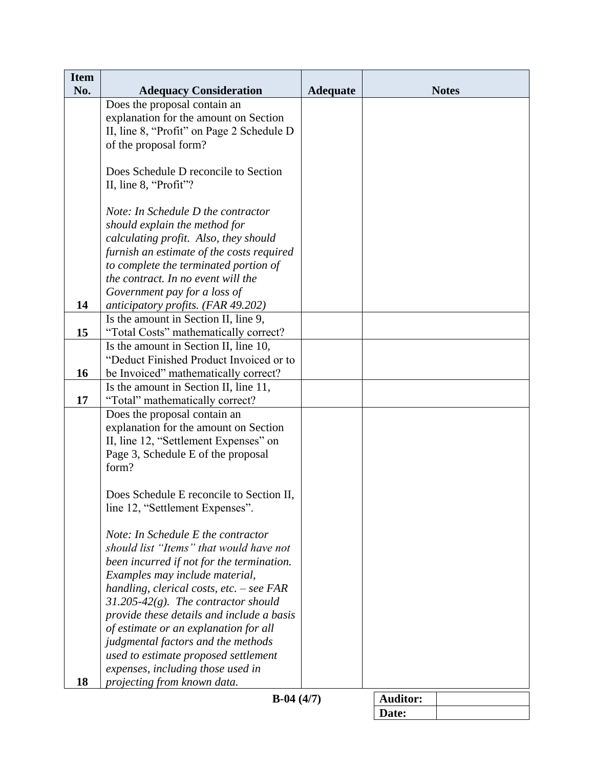| <b>Item</b> |                                                                                    |                 |                 |              |
|-------------|------------------------------------------------------------------------------------|-----------------|-----------------|--------------|
| No.         | <b>Adequacy Consideration</b>                                                      | <b>Adequate</b> |                 | <b>Notes</b> |
|             | Does the proposal contain an                                                       |                 |                 |              |
|             | explanation for the amount on Section<br>II, line 8, "Profit" on Page 2 Schedule D |                 |                 |              |
|             | of the proposal form?                                                              |                 |                 |              |
|             |                                                                                    |                 |                 |              |
|             | Does Schedule D reconcile to Section                                               |                 |                 |              |
|             | II, line 8, "Profit"?                                                              |                 |                 |              |
|             |                                                                                    |                 |                 |              |
|             | Note: In Schedule D the contractor                                                 |                 |                 |              |
|             | should explain the method for                                                      |                 |                 |              |
|             | calculating profit. Also, they should                                              |                 |                 |              |
|             | furnish an estimate of the costs required                                          |                 |                 |              |
|             | to complete the terminated portion of                                              |                 |                 |              |
|             | the contract. In no event will the                                                 |                 |                 |              |
|             | Government pay for a loss of                                                       |                 |                 |              |
| 14          | anticipatory profits. (FAR 49.202)                                                 |                 |                 |              |
|             | Is the amount in Section II, line 9,                                               |                 |                 |              |
| 15          | "Total Costs" mathematically correct?                                              |                 |                 |              |
|             | Is the amount in Section II, line 10,                                              |                 |                 |              |
|             | "Deduct Finished Product Invoiced or to                                            |                 |                 |              |
| 16          | be Invoiced" mathematically correct?                                               |                 |                 |              |
|             | Is the amount in Section II, line 11,                                              |                 |                 |              |
| 17          | "Total" mathematically correct?                                                    |                 |                 |              |
|             | Does the proposal contain an<br>explanation for the amount on Section              |                 |                 |              |
|             | II, line 12, "Settlement Expenses" on                                              |                 |                 |              |
|             | Page 3, Schedule E of the proposal                                                 |                 |                 |              |
|             | form?                                                                              |                 |                 |              |
|             |                                                                                    |                 |                 |              |
|             | Does Schedule E reconcile to Section II,                                           |                 |                 |              |
|             | line 12, "Settlement Expenses".                                                    |                 |                 |              |
|             |                                                                                    |                 |                 |              |
|             | Note: In Schedule E the contractor                                                 |                 |                 |              |
|             | should list "Items" that would have not                                            |                 |                 |              |
|             | been incurred if not for the termination.                                          |                 |                 |              |
|             | Examples may include material,                                                     |                 |                 |              |
|             | handling, clerical costs, etc. - see FAR                                           |                 |                 |              |
|             | $31.205-42(g)$ . The contractor should                                             |                 |                 |              |
|             | provide these details and include a basis                                          |                 |                 |              |
|             | of estimate or an explanation for all                                              |                 |                 |              |
|             | judgmental factors and the methods                                                 |                 |                 |              |
|             | used to estimate proposed settlement                                               |                 |                 |              |
|             | expenses, including those used in                                                  |                 |                 |              |
| 18          | projecting from known data.                                                        |                 |                 |              |
|             | $B-04(4/7)$                                                                        |                 | <b>Auditor:</b> |              |
|             |                                                                                    |                 | Date:           |              |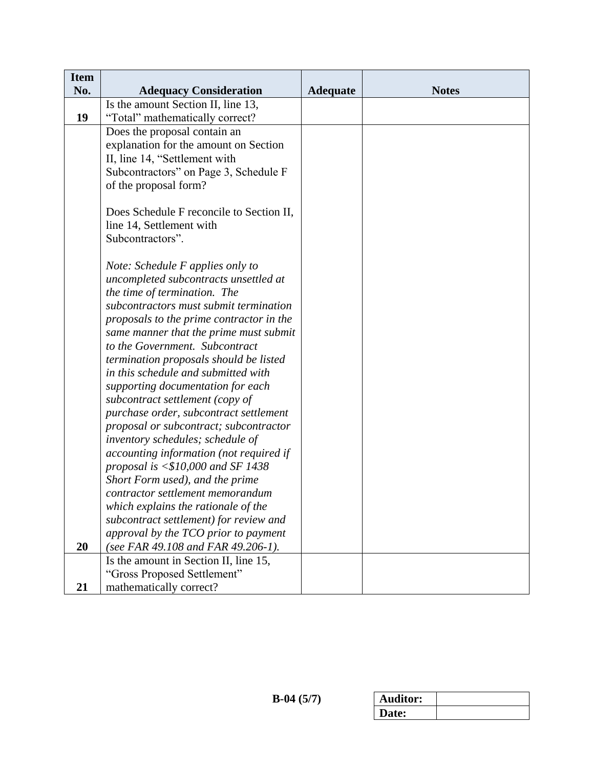| <b>Item</b> |                                          |                 |              |
|-------------|------------------------------------------|-----------------|--------------|
| No.         | <b>Adequacy Consideration</b>            | <b>Adequate</b> | <b>Notes</b> |
|             | Is the amount Section II, line 13,       |                 |              |
| 19          | "Total" mathematically correct?          |                 |              |
|             | Does the proposal contain an             |                 |              |
|             | explanation for the amount on Section    |                 |              |
|             | II, line 14, "Settlement with            |                 |              |
|             | Subcontractors" on Page 3, Schedule F    |                 |              |
|             | of the proposal form?                    |                 |              |
|             |                                          |                 |              |
|             | Does Schedule F reconcile to Section II, |                 |              |
|             | line 14, Settlement with                 |                 |              |
|             | Subcontractors".                         |                 |              |
|             |                                          |                 |              |
|             | Note: Schedule F applies only to         |                 |              |
|             | uncompleted subcontracts unsettled at    |                 |              |
|             | the time of termination. The             |                 |              |
|             | subcontractors must submit termination   |                 |              |
|             | proposals to the prime contractor in the |                 |              |
|             | same manner that the prime must submit   |                 |              |
|             | to the Government. Subcontract           |                 |              |
|             | termination proposals should be listed   |                 |              |
|             | in this schedule and submitted with      |                 |              |
|             | supporting documentation for each        |                 |              |
|             | subcontract settlement (copy of          |                 |              |
|             | purchase order, subcontract settlement   |                 |              |
|             | proposal or subcontract; subcontractor   |                 |              |
|             | inventory schedules; schedule of         |                 |              |
|             | accounting information (not required if  |                 |              |
|             | proposal is $< $10,000$ and SF 1438      |                 |              |
|             | Short Form used), and the prime          |                 |              |
|             | contractor settlement memorandum         |                 |              |
|             | which explains the rationale of the      |                 |              |
|             | subcontract settlement) for review and   |                 |              |
|             | approval by the TCO prior to payment     |                 |              |
| 20          | (see FAR 49.108 and FAR 49.206-1).       |                 |              |
|             | Is the amount in Section II, line 15,    |                 |              |
|             | "Gross Proposed Settlement"              |                 |              |
| 21          | mathematically correct?                  |                 |              |

| <b>Auditor:</b> |  |
|-----------------|--|
| Date:           |  |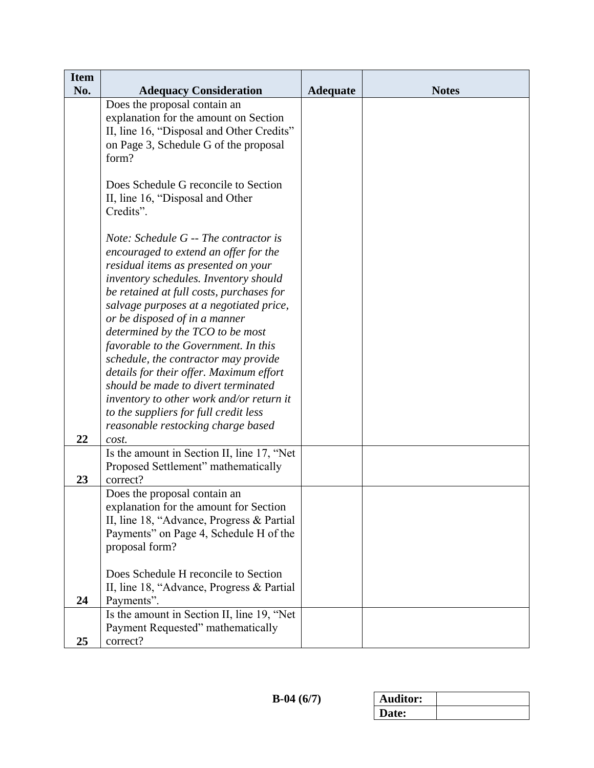| <b>Item</b><br>No. |                                                                                     |                 |              |
|--------------------|-------------------------------------------------------------------------------------|-----------------|--------------|
|                    | <b>Adequacy Consideration</b><br>Does the proposal contain an                       | <b>Adequate</b> | <b>Notes</b> |
|                    | explanation for the amount on Section                                               |                 |              |
|                    | II, line 16, "Disposal and Other Credits"                                           |                 |              |
|                    | on Page 3, Schedule G of the proposal                                               |                 |              |
|                    | form?                                                                               |                 |              |
|                    |                                                                                     |                 |              |
|                    | Does Schedule G reconcile to Section                                                |                 |              |
|                    | II, line 16, "Disposal and Other                                                    |                 |              |
|                    | Credits".                                                                           |                 |              |
|                    | Note: Schedule G -- The contractor is                                               |                 |              |
|                    | encouraged to extend an offer for the                                               |                 |              |
|                    | residual items as presented on your                                                 |                 |              |
|                    | inventory schedules. Inventory should                                               |                 |              |
|                    | be retained at full costs, purchases for                                            |                 |              |
|                    | salvage purposes at a negotiated price,                                             |                 |              |
|                    | or be disposed of in a manner                                                       |                 |              |
|                    | determined by the TCO to be most                                                    |                 |              |
|                    | favorable to the Government. In this                                                |                 |              |
|                    | schedule, the contractor may provide                                                |                 |              |
|                    | details for their offer. Maximum effort<br>should be made to divert terminated      |                 |              |
|                    | inventory to other work and/or return it                                            |                 |              |
|                    | to the suppliers for full credit less                                               |                 |              |
|                    | reasonable restocking charge based                                                  |                 |              |
| 22                 | cost.                                                                               |                 |              |
|                    | Is the amount in Section II, line 17, "Net                                          |                 |              |
|                    | Proposed Settlement" mathematically                                                 |                 |              |
| 23                 | correct?                                                                            |                 |              |
|                    | Does the proposal contain an                                                        |                 |              |
|                    | explanation for the amount for Section<br>II, line 18, "Advance, Progress & Partial |                 |              |
|                    | Payments" on Page 4, Schedule H of the                                              |                 |              |
|                    | proposal form?                                                                      |                 |              |
|                    |                                                                                     |                 |              |
|                    | Does Schedule H reconcile to Section                                                |                 |              |
|                    | II, line 18, "Advance, Progress & Partial                                           |                 |              |
| 24                 | Payments".                                                                          |                 |              |
|                    | Is the amount in Section II, line 19, "Net                                          |                 |              |
|                    | Payment Requested" mathematically                                                   |                 |              |
| 25                 | correct?                                                                            |                 |              |